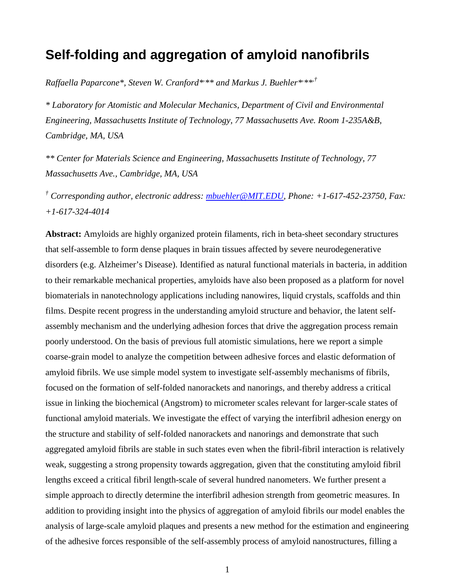# **Self-folding and aggregation of amyloid nanofibrils**

*Raffaella Paparcone\*, Steven W. Cranford\*, \*\* and Markus J. Buehler\*, \*\*,†*

*\* Laboratory for Atomistic and Molecular Mechanics, Department of Civil and Environmental Engineering, Massachusetts Institute of Technology, 77 Massachusetts Ave. Room 1-235A&B, Cambridge, MA, USA*

*\*\* Center for Materials Science and Engineering, Massachusetts Institute of Technology, 77 Massachusetts Ave., Cambridge, MA, USA*

*† Corresponding author, electronic address: [mbuehler@MIT.EDU,](mailto:mbuehler@MIT.EDU) Phone: +1-617-452-23750, Fax: +1-617-324-4014*

**Abstract:** Amyloids are highly organized protein filaments, rich in beta-sheet secondary structures that self-assemble to form dense plaques in brain tissues affected by severe neurodegenerative disorders (e.g. Alzheimer's Disease). Identified as natural functional materials in bacteria, in addition to their remarkable mechanical properties, amyloids have also been proposed as a platform for novel biomaterials in nanotechnology applications including nanowires, liquid crystals, scaffolds and thin films. Despite recent progress in the understanding amyloid structure and behavior, the latent selfassembly mechanism and the underlying adhesion forces that drive the aggregation process remain poorly understood. On the basis of previous full atomistic simulations, here we report a simple coarse-grain model to analyze the competition between adhesive forces and elastic deformation of amyloid fibrils. We use simple model system to investigate self-assembly mechanisms of fibrils, focused on the formation of self-folded nanorackets and nanorings, and thereby address a critical issue in linking the biochemical (Angstrom) to micrometer scales relevant for larger-scale states of functional amyloid materials. We investigate the effect of varying the interfibril adhesion energy on the structure and stability of self-folded nanorackets and nanorings and demonstrate that such aggregated amyloid fibrils are stable in such states even when the fibril-fibril interaction is relatively weak, suggesting a strong propensity towards aggregation, given that the constituting amyloid fibril lengths exceed a critical fibril length-scale of several hundred nanometers. We further present a simple approach to directly determine the interfibril adhesion strength from geometric measures. In addition to providing insight into the physics of aggregation of amyloid fibrils our model enables the analysis of large-scale amyloid plaques and presents a new method for the estimation and engineering of the adhesive forces responsible of the self-assembly process of amyloid nanostructures, filling a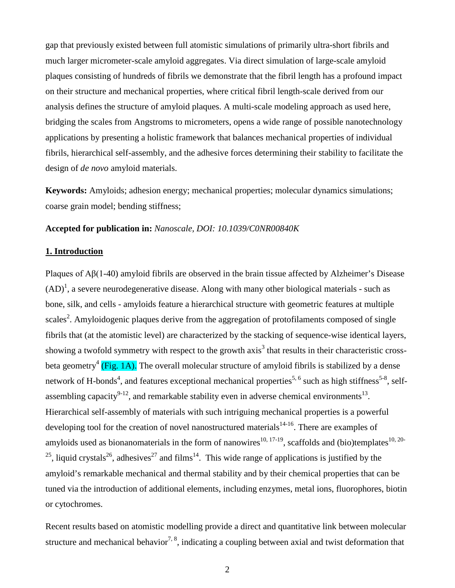gap that previously existed between full atomistic simulations of primarily ultra-short fibrils and much larger micrometer-scale amyloid aggregates. Via direct simulation of large-scale amyloid plaques consisting of hundreds of fibrils we demonstrate that the fibril length has a profound impact on their structure and mechanical properties, where critical fibril length-scale derived from our analysis defines the structure of amyloid plaques. A multi-scale modeling approach as used here, bridging the scales from Angstroms to micrometers, opens a wide range of possible nanotechnology applications by presenting a holistic framework that balances mechanical properties of individual fibrils, hierarchical self-assembly, and the adhesive forces determining their stability to facilitate the design of *de novo* amyloid materials.

**Keywords:** Amyloids; adhesion energy; mechanical properties; molecular dynamics simulations; coarse grain model; bending stiffness;

# **Accepted for publication in:** *Nanoscale, DOI: 10.1039/C0NR00840K*

#### **1. Introduction**

Plaques of Aβ(1-40) amyloid fibrils are observed in the brain tissue affected by Alzheimer's Disease  $(AD)^1$ , a severe neurodegenerative disease. Along with many other biological materials - such as bone, silk, and cells - amyloids feature a hierarchical structure with geometric features at multiple scales<sup>2</sup>. Amyloidogenic plaques derive from the aggregation of protofilaments composed of single fibrils that (at the atomistic level) are characterized by the stacking of sequence-wise identical layers, showing a twofold symmetry with respect to the growth  $axis<sup>3</sup>$  that results in their characteristic crossbeta geometry<sup>4</sup> (Fig. 1A). The overall molecular structure of amyloid fibrils is stabilized by a dense network of H-bonds<sup>4</sup>, and features exceptional mechanical properties<sup>5, 6</sup> such as high stiffness<sup>5-8</sup>, selfassembling capacity<sup>9-12</sup>, and remarkable stability even in adverse chemical environments<sup>13</sup>. Hierarchical self-assembly of materials with such intriguing mechanical properties is a powerful developing tool for the creation of novel nanostructured materials<sup>14-16</sup>. There are examples of amyloids used as bionanomaterials in the form of nanowires<sup>10, 17-19</sup>, scaffolds and (bio)templates<sup>10, 20-</sup> <sup>25</sup>, liquid crystals<sup>26</sup>, adhesives<sup>27</sup> and films<sup>14</sup>. This wide range of applications is justified by the amyloid's remarkable mechanical and thermal stability and by their chemical properties that can be tuned via the introduction of additional elements, including enzymes, metal ions, fluorophores, biotin or cytochromes.

Recent results based on atomistic modelling provide a direct and quantitative link between molecular structure and mechanical behavior<sup>7, 8</sup>, indicating a coupling between axial and twist deformation that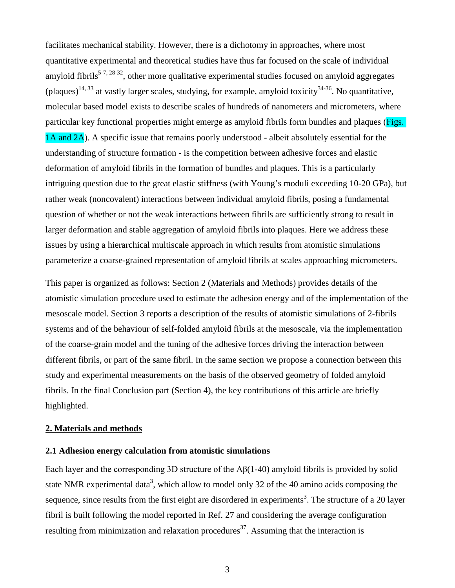facilitates mechanical stability. However, there is a dichotomy in approaches, where most quantitative experimental and theoretical studies have thus far focused on the scale of individual amyloid fibrils<sup>5-7, 28-32</sup>, other more qualitative experimental studies focused on amyloid aggregates (plaques)<sup>14, 33</sup> at vastly larger scales, studying, for example, amyloid toxicity<sup>34-36</sup>. No quantitative, molecular based model exists to describe scales of hundreds of nanometers and micrometers, where particular key functional properties might emerge as amyloid fibrils form bundles and plaques (Figs. 1A and 2A). A specific issue that remains poorly understood - albeit absolutely essential for the understanding of structure formation - is the competition between adhesive forces and elastic deformation of amyloid fibrils in the formation of bundles and plaques. This is a particularly intriguing question due to the great elastic stiffness (with Young's moduli exceeding 10-20 GPa), but rather weak (noncovalent) interactions between individual amyloid fibrils, posing a fundamental question of whether or not the weak interactions between fibrils are sufficiently strong to result in larger deformation and stable aggregation of amyloid fibrils into plaques. Here we address these issues by using a hierarchical multiscale approach in which results from atomistic simulations parameterize a coarse-grained representation of amyloid fibrils at scales approaching micrometers.

This paper is organized as follows: Section 2 (Materials and Methods) provides details of the atomistic simulation procedure used to estimate the adhesion energy and of the implementation of the mesoscale model. Section 3 reports a description of the results of atomistic simulations of 2-fibrils systems and of the behaviour of self-folded amyloid fibrils at the mesoscale, via the implementation of the coarse-grain model and the tuning of the adhesive forces driving the interaction between different fibrils, or part of the same fibril. In the same section we propose a connection between this study and experimental measurements on the basis of the observed geometry of folded amyloid fibrils. In the final Conclusion part (Section 4), the key contributions of this article are briefly highlighted.

# **2. Materials and methods**

## **2.1 Adhesion energy calculation from atomistic simulations**

Each layer and the corresponding 3D structure of the  $A\beta(1-40)$  amyloid fibrils is provided by solid state NMR experimental data<sup>3</sup>, which allow to model only 32 of the 40 amino acids composing the sequence, since results from the first eight are disordered in experiments<sup>3</sup>. The structure of a 20 layer fibril is built following the model reported in Ref. 27 and considering the average configuration resulting from minimization and relaxation procedures<sup>37</sup>. Assuming that the interaction is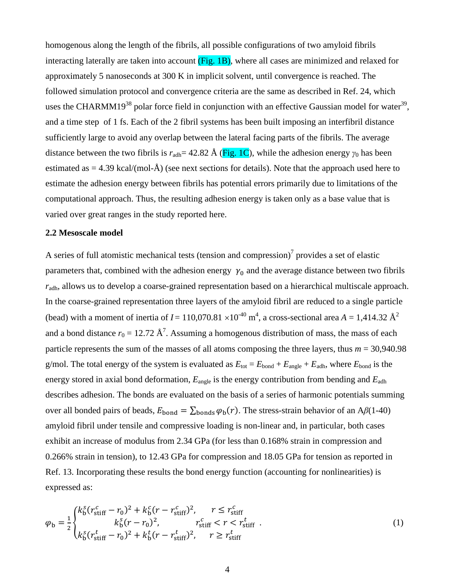homogenous along the length of the fibrils, all possible configurations of two amyloid fibrils interacting laterally are taken into account (Fig. 1B), where all cases are minimized and relaxed for approximately 5 nanoseconds at 300 K in implicit solvent, until convergence is reached. The followed simulation protocol and convergence criteria are the same as described in Ref. 24, which uses the CHARMM19<sup>38</sup> polar force field in conjunction with an effective Gaussian model for water<sup>39</sup>, and a time step of 1 fs. Each of the 2 fibril systems has been built imposing an interfibril distance sufficiently large to avoid any overlap between the lateral facing parts of the fibrils. The average distance between the two fibrils is  $r_{\text{adh}} = 42.82 \text{ Å}$  (Fig. 1C), while the adhesion energy  $\gamma_0$  has been estimated as  $= 4.39$  kcal/(mol- $\AA$ ) (see next sections for details). Note that the approach used here to estimate the adhesion energy between fibrils has potential errors primarily due to limitations of the computational approach. Thus, the resulting adhesion energy is taken only as a base value that is varied over great ranges in the study reported here.

# **2.2 Mesoscale model**

A series of full atomistic mechanical tests (tension and compression) $<sup>7</sup>$  provides a set of elastic</sup> parameters that, combined with the adhesion energy  $\gamma_0$  and the average distance between two fibrils  $r<sub>adh</sub>$ , allows us to develop a coarse-grained representation based on a hierarchical multiscale approach. In the coarse-grained representation three layers of the amyloid fibril are reduced to a single particle (bead) with a moment of inertia of  $I = 110,070.81 \times 10^{-40}$  m<sup>4</sup>, a cross-sectional area  $A = 1,414.32$   $\AA^2$ and a bond distance  $r_0 = 12.72 \text{ Å}^7$ . Assuming a homogenous distribution of mass, the mass of each particle represents the sum of the masses of all atoms composing the three layers, thus *m* = 30,940.98 g/mol. The total energy of the system is evaluated as  $E_{\text{tot}} = E_{\text{bond}} + E_{\text{angle}} + E_{\text{adh}}$ , where  $E_{\text{bond}}$  is the energy stored in axial bond deformation,  $E_{angle}$  is the energy contribution from bending and  $E_{adh}$ describes adhesion. The bonds are evaluated on the basis of a series of harmonic potentials summing over all bonded pairs of beads,  $E_{\text{bond}} = \sum_{\text{bonds}} \varphi_{\text{b}}(r)$ . The stress-strain behavior of an A $\beta$ (1-40) amyloid fibril under tensile and compressive loading is non-linear and, in particular, both cases exhibit an increase of modulus from 2.34 GPa (for less than 0.168% strain in compression and 0.266% strain in tension), to 12.43 GPa for compression and 18.05 GPa for tension as reported in Ref. 13. Incorporating these results the bond energy function (accounting for nonlinearities) is expressed as:

$$
\varphi_{b} = \frac{1}{2} \begin{cases} k_{b}^{s} (r_{\text{stiff}}^{c} - r_{0})^{2} + k_{b}^{c} (r - r_{\text{stiff}}^{c})^{2}, & r \leq r_{\text{stiff}}^{c} \\ k_{b}^{s} (r - r_{0})^{2}, & r_{\text{stiff}}^{c} < r < r_{\text{stiff}}^{t} \\ k_{b}^{s} (r_{\text{stiff}}^{t} - r_{0})^{2} + k_{b}^{t} (r - r_{\text{stiff}}^{t})^{2}, & r \geq r_{\text{stiff}}^{t} \end{cases} \tag{1}
$$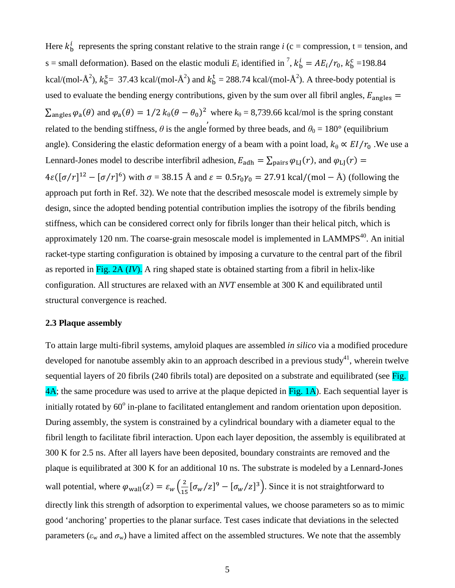Here  $k_b^l$  represents the spring constant relative to the strain range *i* (c = compression, t = tension, and s = small deformation). Based on the elastic moduli  $E_i$  identified in <sup>7</sup>,  $k_b^i = A E_i / r_0$ ,  $k_b^c = 198.84$ kcal/(mol- $\AA^2$ ),  $k_b^s = 37.43$  kcal/(mol- $\AA^2$ ) and  $k_b^t = 288.74$  kcal/(mol- $\AA^2$ ). A three-body potential is used to evaluate the bending energy contributions, given by the sum over all fibril angles,  $E_{\text{angles}} =$  $\sum_{\text{angles}} \varphi_a(\theta)$  and  $\varphi_a(\theta) = 1/2 k_\theta(\theta - \theta_0)^2$  where  $k_\theta = 8,739.66$  kcal/mol is the spring constant , related to the bending stiffness,  $\theta$  is the angle formed by three beads, and  $\theta_0 = 180^\circ$  (equilibrium angle). Considering the elastic deformation energy of a beam with a point load,  $k_{\theta} \propto EI/r_0$ . We use a Lennard-Jones model to describe interfibril adhesion,  $E_{\text{adh}} = \sum_{\text{pairs}} \varphi_{\text{LJ}}(r)$ , and  $\varphi_{\text{LJ}}(r) =$  $4\varepsilon([\sigma/r]^{12} - [\sigma/r]^{6})$  with  $\sigma = 38.15$  Å and  $\varepsilon = 0.5r_0\gamma_0 = 27.91$  kcal/(mol – Å) (following the approach put forth in Ref. 32). We note that the described mesoscale model is extremely simple by design, since the adopted bending potential contribution implies the isotropy of the fibrils bending stiffness, which can be considered correct only for fibrils longer than their helical pitch, which is approximately 120 nm. The coarse-grain mesoscale model is implemented in  $LAMMPS<sup>40</sup>$ . An initial racket-type starting configuration is obtained by imposing a curvature to the central part of the fibril as reported in Fig. 2A (*IV*). A ring shaped state is obtained starting from a fibril in helix-like configuration. All structures are relaxed with an *NVT* ensemble at 300 K and equilibrated until structural convergence is reached.

#### **2.3 Plaque assembly**

To attain large multi-fibril systems, amyloid plaques are assembled *in silico* via a modified procedure developed for nanotube assembly akin to an approach described in a previous study<sup>41</sup>, wherein twelve sequential layers of 20 fibrils (240 fibrils total) are deposited on a substrate and equilibrated (see Fig.  $4A$ ; the same procedure was used to arrive at the plaque depicted in Fig. 1A). Each sequential layer is initially rotated by 60<sup>°</sup> in-plane to facilitated entanglement and random orientation upon deposition. During assembly, the system is constrained by a cylindrical boundary with a diameter equal to the fibril length to facilitate fibril interaction. Upon each layer deposition, the assembly is equilibrated at 300 K for 2.5 ns. After all layers have been deposited, boundary constraints are removed and the plaque is equilibrated at 300 K for an additional 10 ns. The substrate is modeled by a Lennard-Jones wall potential, where  $\varphi_{\text{wall}}(z) = \varepsilon_{w} \left( \frac{2}{15} [\sigma_{w}/z]^{9} - [\sigma_{w}/z]^{3} \right)$ . Since it is not straightforward to directly link this strength of adsorption to experimental values, we choose parameters so as to mimic good 'anchoring' properties to the planar surface. Test cases indicate that deviations in the selected parameters ( $\varepsilon_w$  and  $\sigma_w$ ) have a limited affect on the assembled structures. We note that the assembly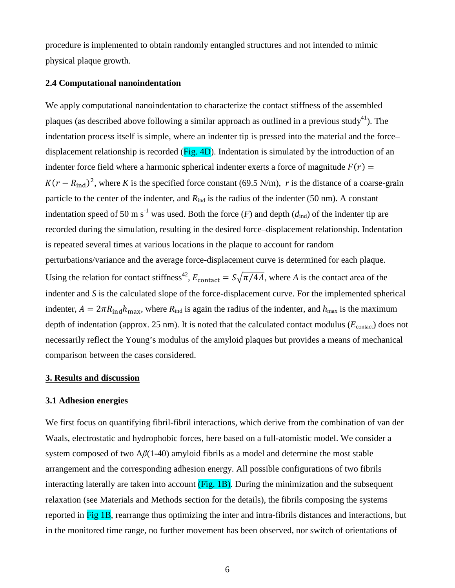procedure is implemented to obtain randomly entangled structures and not intended to mimic physical plaque growth.

## **2.4 Computational nanoindentation**

We apply computational nanoindentation to characterize the contact stiffness of the assembled plaques (as described above following a similar approach as outlined in a previous study<sup>41</sup>). The indentation process itself is simple, where an indenter tip is pressed into the material and the force– displacement relationship is recorded ( $Fig. 4D$ ). Indentation is simulated by the introduction of an indenter force field where a harmonic spherical indenter exerts a force of magnitude  $F(r)$  =  $K(r - R_{ind})^2$ , where *K* is the specified force constant (69.5 N/m), *r* is the distance of a coarse-grain particle to the center of the indenter, and  $R_{ind}$  is the radius of the indenter (50 nm). A constant indentation speed of 50 m s<sup>-1</sup> was used. Both the force  $(F)$  and depth  $(d_{ind})$  of the indenter tip are recorded during the simulation, resulting in the desired force–displacement relationship. Indentation is repeated several times at various locations in the plaque to account for random perturbations/variance and the average force-displacement curve is determined for each plaque. Using the relation for contact stiffness<sup>42</sup>,  $E_{\text{contact}} = S\sqrt{\pi/4A}$ , where *A* is the contact area of the indenter and *S* is the calculated slope of the force-displacement curve. For the implemented spherical indenter,  $A = 2\pi R_{ind} h_{max}$ , where  $R_{ind}$  is again the radius of the indenter, and  $h_{max}$  is the maximum depth of indentation (approx. 25 nm). It is noted that the calculated contact modulus ( $E_{\text{contact}}$ ) does not necessarily reflect the Young's modulus of the amyloid plaques but provides a means of mechanical comparison between the cases considered.

#### **3. Results and discussion**

#### **3.1 Adhesion energies**

We first focus on quantifying fibril-fibril interactions, which derive from the combination of van der Waals, electrostatic and hydrophobic forces, here based on a full-atomistic model. We consider a system composed of two A*β*(1-40) amyloid fibrils as a model and determine the most stable arrangement and the corresponding adhesion energy. All possible configurations of two fibrils interacting laterally are taken into account (Fig. 1B). During the minimization and the subsequent relaxation (see Materials and Methods section for the details), the fibrils composing the systems reported in Fig 1B, rearrange thus optimizing the inter and intra-fibrils distances and interactions, but in the monitored time range, no further movement has been observed, nor switch of orientations of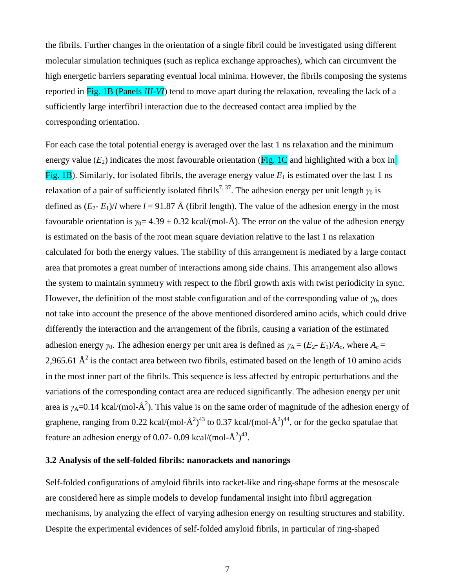the fibrils. Further changes in the orientation of a single fibril could be investigated using different molecular simulation techniques (such as replica exchange approaches), which can circumvent the high energetic barriers separating eventual local minima. However, the fibrils composing the systems reported in Fig. 1B (Panels *III*-*VI*) tend to move apart during the relaxation, revealing the lack of a sufficiently large interfibril interaction due to the decreased contact area implied by the corresponding orientation.

For each case the total potential energy is averaged over the last 1 ns relaxation and the minimum energy value  $(E_2)$  indicates the most favourable orientation (Fig. 1C and highlighted with a box in Fig. 1B). Similarly, for isolated fibrils, the average energy value  $E_1$  is estimated over the last 1 ns relaxation of a pair of sufficiently isolated fibrils<sup>7, 37</sup>. The adhesion energy per unit length  $\gamma_0$  is defined as  $(E_2 - E_1)/l$  where  $l = 91.87$  Å (fibril length). The value of the adhesion energy in the most favourable orientation is  $\gamma_0 = 4.39 \pm 0.32$  kcal/(mol-Å). The error on the value of the adhesion energy is estimated on the basis of the root mean square deviation relative to the last 1 ns relaxation calculated for both the energy values. The stability of this arrangement is mediated by a large contact area that promotes a great number of interactions among side chains. This arrangement also allows the system to maintain symmetry with respect to the fibril growth axis with twist periodicity in sync. However, the definition of the most stable configuration and of the corresponding value of  $\gamma_0$ , does not take into account the presence of the above mentioned disordered amino acids, which could drive differently the interaction and the arrangement of the fibrils, causing a variation of the estimated adhesion energy  $\gamma_0$ . The adhesion energy per unit area is defined as  $\gamma_A = (E_2 - E_1)/A_c$ , where  $A_c =$ 2,965.61  $\AA^2$  is the contact area between two fibrils, estimated based on the length of 10 amino acids in the most inner part of the fibrils. This sequence is less affected by entropic perturbations and the variations of the corresponding contact area are reduced significantly. The adhesion energy per unit area is  $\gamma_A = 0.14$  kcal/(mol- $\AA^2$ ). This value is on the same order of magnitude of the adhesion energy of graphene, ranging from 0.22 kcal/(mol- $A^2$ )<sup>43</sup> to 0.37 kcal/(mol- $A^2$ )<sup>44</sup>, or for the gecko spatulae that feature an adhesion energy of 0.07- 0.09 kcal/(mol- $\AA^2$ )<sup>43</sup>.

#### **3.2 Analysis of the self-folded fibrils: nanorackets and nanorings**

Self-folded configurations of amyloid fibrils into racket-like and ring-shape forms at the mesoscale are considered here as simple models to develop fundamental insight into fibril aggregation mechanisms, by analyzing the effect of varying adhesion energy on resulting structures and stability. Despite the experimental evidences of self-folded amyloid fibrils, in particular of ring-shaped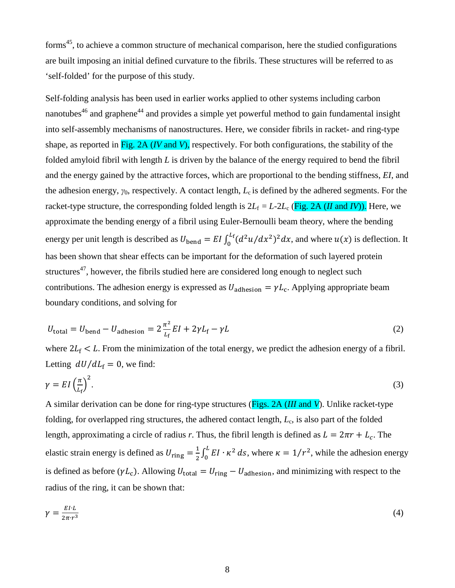$forms<sup>45</sup>$ , to achieve a common structure of mechanical comparison, here the studied configurations are built imposing an initial defined curvature to the fibrils. These structures will be referred to as 'self-folded' for the purpose of this study.

Self-folding analysis has been used in earlier works applied to other systems including carbon nanotubes<sup>46</sup> and graphene<sup>44</sup> and provides a simple yet powerful method to gain fundamental insight into self-assembly mechanisms of nanostructures. Here, we consider fibrils in racket- and ring-type shape, as reported in Fig. 2A (*IV* and *V*), respectively. For both configurations, the stability of the folded amyloid fibril with length *L* is driven by the balance of the energy required to bend the fibril and the energy gained by the attractive forces, which are proportional to the bending stiffness, *EI*, and the adhesion energy, *γ*<sub>0</sub>, respectively. A contact length, *L*<sub>c</sub> is defined by the adhered segments. For the racket-type structure, the corresponding folded length is  $2L_f = L-2L_c$  (Fig. 2A (*II* and *IV*)). Here, we approximate the bending energy of a fibril using Euler-Bernoulli beam theory, where the bending energy per unit length is described as  $U_{\text{bend}} = EI \int_0^{L_f} (d^2u/dx^2)^2 dx$ , and where  $u(x)$  is deflection. It has been shown that shear effects can be important for the deformation of such layered protein structures $47$ , however, the fibrils studied here are considered long enough to neglect such contributions. The adhesion energy is expressed as  $U_{\text{adhesion}} = \gamma L_c$ . Applying appropriate beam boundary conditions, and solving for

$$
U_{\text{total}} = U_{\text{bend}} - U_{\text{adhesion}} = 2\frac{\pi^2}{L_f}EI + 2\gamma L_f - \gamma L \tag{2}
$$

where  $2L_f < L$ . From the minimization of the total energy, we predict the adhesion energy of a fibril. Letting  $dU/dL_f = 0$ , we find:

$$
\gamma = EI\left(\frac{\pi}{L_f}\right)^2. \tag{3}
$$

A similar derivation can be done for ring-type structures (Figs. 2A (*III* and *V*). Unlike racket-type folding, for overlapped ring structures, the adhered contact length, *L*c, is also part of the folded length, approximating a circle of radius *r*. Thus, the fibril length is defined as  $L = 2\pi r + L_c$ . The elastic strain energy is defined as  $U_{\text{ring}} = \frac{1}{2} \int_0^L EI \cdot \kappa^2 ds$ , where  $\kappa = 1/r^2$ , while the adhesion energy is defined as before ( $\gamma L_c$ ). Allowing  $U_{\text{total}} = U_{\text{ring}} - U_{\text{adhesion}}$ , and minimizing with respect to the radius of the ring, it can be shown that:

$$
\gamma = \frac{EI \cdot L}{2\pi r^3} \tag{4}
$$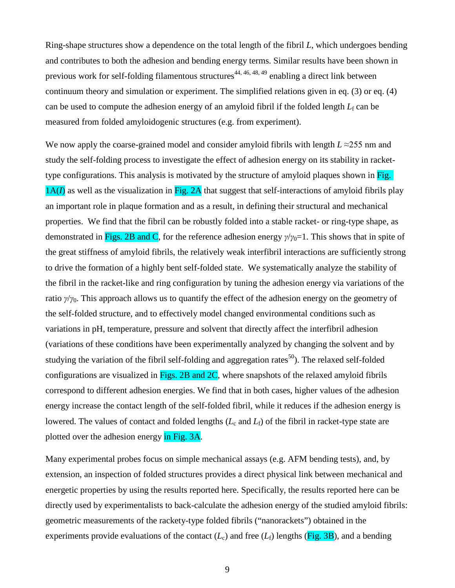Ring-shape structures show a dependence on the total length of the fibril *L*, which undergoes bending and contributes to both the adhesion and bending energy terms. Similar results have been shown in previous work for self-folding filamentous structures<sup>44, 46, 48, 49</sup> enabling a direct link between continuum theory and simulation or experiment. The simplified relations given in eq. (3) or eq. (4) can be used to compute the adhesion energy of an amyloid fibril if the folded length  $L_f$  can be measured from folded amyloidogenic structures (e.g. from experiment).

We now apply the coarse-grained model and consider amyloid fibrils with length *L* ≈255 nm and study the self-folding process to investigate the effect of adhesion energy on its stability in rackettype configurations. This analysis is motivated by the structure of amyloid plaques shown in Fig. 1A(*I*) as well as the visualization in Fig. 2A that suggest that self-interactions of amyloid fibrils play an important role in plaque formation and as a result, in defining their structural and mechanical properties. We find that the fibril can be robustly folded into a stable racket- or ring-type shape, as demonstrated in Figs. 2B and C, for the reference adhesion energy  $\gamma/\gamma_0=1$ . This shows that in spite of the great stiffness of amyloid fibrils, the relatively weak interfibril interactions are sufficiently strong to drive the formation of a highly bent self-folded state. We systematically analyze the stability of the fibril in the racket-like and ring configuration by tuning the adhesion energy via variations of the ratio *γ*/*γ*0. This approach allows us to quantify the effect of the adhesion energy on the geometry of the self-folded structure, and to effectively model changed environmental conditions such as variations in pH, temperature, pressure and solvent that directly affect the interfibril adhesion (variations of these conditions have been experimentally analyzed by changing the solvent and by studying the variation of the fibril self-folding and aggregation rates<sup>50</sup>). The relaxed self-folded configurations are visualized in  $Figs. 2B$  and  $2C$ , where snapshots of the relaxed amyloid fibrils correspond to different adhesion energies. We find that in both cases, higher values of the adhesion energy increase the contact length of the self-folded fibril, while it reduces if the adhesion energy is lowered. The values of contact and folded lengths  $(L_c$  and  $L_f$ ) of the fibril in racket-type state are plotted over the adhesion energy in Fig. 3A.

Many experimental probes focus on simple mechanical assays (e.g. AFM bending tests), and, by extension, an inspection of folded structures provides a direct physical link between mechanical and energetic properties by using the results reported here. Specifically, the results reported here can be directly used by experimentalists to back-calculate the adhesion energy of the studied amyloid fibrils: geometric measurements of the rackety-type folded fibrils ("nanorackets") obtained in the experiments provide evaluations of the contact  $(L_c)$  and free  $(L_f)$  lengths (Fig. 3B), and a bending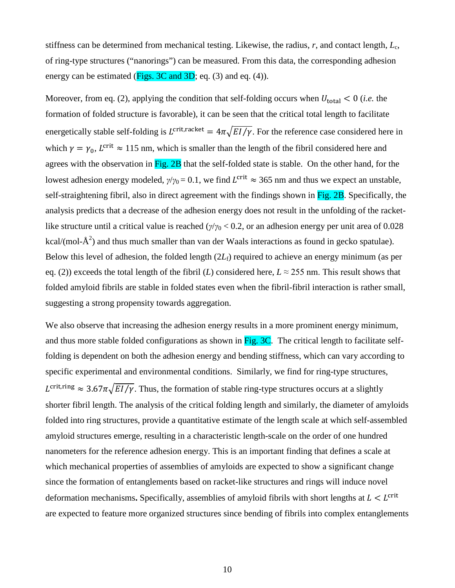stiffness can be determined from mechanical testing. Likewise, the radius, *r*, and contact length, *L*c, of ring-type structures ("nanorings") can be measured. From this data, the corresponding adhesion energy can be estimated (Figs.  $3C$  and  $3D$ ; eq. (3) and eq. (4)).

Moreover, from eq. (2), applying the condition that self-folding occurs when  $U_{total} < 0$  (*i.e.* the formation of folded structure is favorable), it can be seen that the critical total length to facilitate energetically stable self-folding is  $L^{\text{crit, racket}} = 4\pi \sqrt{EI/\gamma}$ . For the reference case considered here in which  $\gamma = \gamma_0$ ,  $L^{\text{crit}} \approx 115$  nm, which is smaller than the length of the fibril considered here and agrees with the observation in Fig. 2B that the self-folded state is stable. On the other hand, for the lowest adhesion energy modeled,  $\gamma/\gamma_0 = 0.1$ , we find  $L^{\text{crit}} \approx 365$  nm and thus we expect an unstable, self-straightening fibril, also in direct agreement with the findings shown in Fig. 2B. Specifically, the analysis predicts that a decrease of the adhesion energy does not result in the unfolding of the racketlike structure until a critical value is reached  $(\gamma/\gamma_0 < 0.2)$ , or an adhesion energy per unit area of 0.028 kcal/(mol- $\AA^2$ ) and thus much smaller than van der Waals interactions as found in gecko spatulae). Below this level of adhesion, the folded length (2*L*f) required to achieve an energy minimum (as per eq. (2)) exceeds the total length of the fibril (*L*) considered here,  $L \approx 255$  nm. This result shows that folded amyloid fibrils are stable in folded states even when the fibril-fibril interaction is rather small, suggesting a strong propensity towards aggregation.

We also observe that increasing the adhesion energy results in a more prominent energy minimum, and thus more stable folded configurations as shown in Fig. 3C. The critical length to facilitate selffolding is dependent on both the adhesion energy and bending stiffness, which can vary according to specific experimental and environmental conditions. Similarly, we find for ring-type structures,  $L^{\text{crit,ring}} \approx 3.67\pi \sqrt{EI/\gamma}$ . Thus, the formation of stable ring-type structures occurs at a slightly shorter fibril length. The analysis of the critical folding length and similarly, the diameter of amyloids folded into ring structures, provide a quantitative estimate of the length scale at which self-assembled amyloid structures emerge, resulting in a characteristic length-scale on the order of one hundred nanometers for the reference adhesion energy. This is an important finding that defines a scale at which mechanical properties of assemblies of amyloids are expected to show a significant change since the formation of entanglements based on racket-like structures and rings will induce novel deformation mechanisms. Specifically, assemblies of amyloid fibrils with short lengths at  $L < L^{\text{crit}}$ are expected to feature more organized structures since bending of fibrils into complex entanglements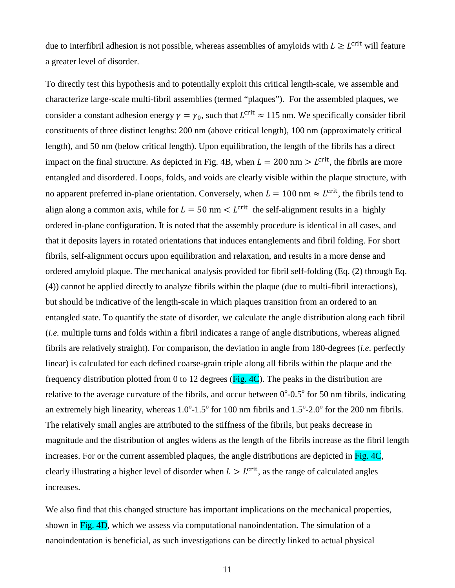due to interfibril adhesion is not possible, whereas assemblies of amyloids with  $L \geq L^{\text{crit}}$  will feature a greater level of disorder.

To directly test this hypothesis and to potentially exploit this critical length-scale, we assemble and characterize large-scale multi-fibril assemblies (termed "plaques"). For the assembled plaques, we consider a constant adhesion energy  $\gamma = \gamma_0$ , such that  $L^{\text{crit}} \approx 115$  nm. We specifically consider fibril constituents of three distinct lengths: 200 nm (above critical length), 100 nm (approximately critical length), and 50 nm (below critical length). Upon equilibration, the length of the fibrils has a direct impact on the final structure. As depicted in Fig. 4B, when  $L = 200$  nm  $>L^{\text{crit}}$ , the fibrils are more entangled and disordered. Loops, folds, and voids are clearly visible within the plaque structure, with no apparent preferred in-plane orientation. Conversely, when  $L = 100$  nm  $\approx L^{\text{crit}}$ , the fibrils tend to align along a common axis, while for  $L = 50$  nm  $\lt L^{\text{crit}}$  the self-alignment results in a highly ordered in-plane configuration. It is noted that the assembly procedure is identical in all cases, and that it deposits layers in rotated orientations that induces entanglements and fibril folding. For short fibrils, self-alignment occurs upon equilibration and relaxation, and results in a more dense and ordered amyloid plaque. The mechanical analysis provided for fibril self-folding (Eq. (2) through Eq. (4)) cannot be applied directly to analyze fibrils within the plaque (due to multi-fibril interactions), but should be indicative of the length-scale in which plaques transition from an ordered to an entangled state. To quantify the state of disorder, we calculate the angle distribution along each fibril (*i.e.* multiple turns and folds within a fibril indicates a range of angle distributions, whereas aligned fibrils are relatively straight). For comparison, the deviation in angle from 180-degrees (*i.e*. perfectly linear) is calculated for each defined coarse-grain triple along all fibrils within the plaque and the frequency distribution plotted from 0 to 12 degrees ( $\overline{Fig. 4C}$ ). The peaks in the distribution are relative to the average curvature of the fibrils, and occur between  $0^{\circ}$ -0.5° for 50 nm fibrils, indicating an extremely high linearity, whereas  $1.0^{\circ}$ -1.5° for 100 nm fibrils and  $1.5^{\circ}$ -2.0° for the 200 nm fibrils. The relatively small angles are attributed to the stiffness of the fibrils, but peaks decrease in magnitude and the distribution of angles widens as the length of the fibrils increase as the fibril length increases. For or the current assembled plaques, the angle distributions are depicted in Fig. 4C, clearly illustrating a higher level of disorder when  $L > L^{\text{crit}}$ , as the range of calculated angles increases.

We also find that this changed structure has important implications on the mechanical properties, shown in Fig. 4D, which we assess via computational nanoindentation. The simulation of a nanoindentation is beneficial, as such investigations can be directly linked to actual physical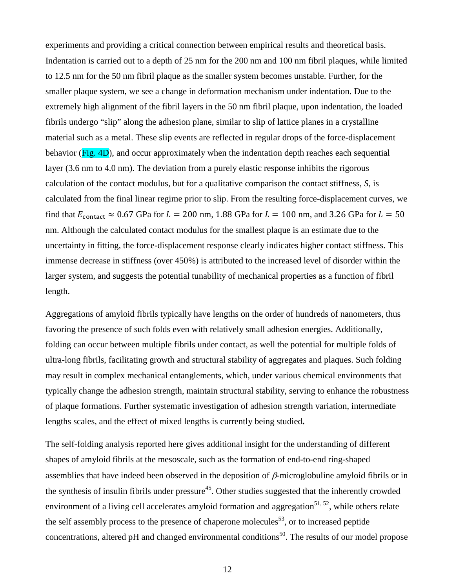experiments and providing a critical connection between empirical results and theoretical basis. Indentation is carried out to a depth of 25 nm for the 200 nm and 100 nm fibril plaques, while limited to 12.5 nm for the 50 nm fibril plaque as the smaller system becomes unstable. Further, for the smaller plaque system, we see a change in deformation mechanism under indentation. Due to the extremely high alignment of the fibril layers in the 50 nm fibril plaque, upon indentation, the loaded fibrils undergo "slip" along the adhesion plane, similar to slip of lattice planes in a crystalline material such as a metal. These slip events are reflected in regular drops of the force-displacement behavior (Fig. 4D), and occur approximately when the indentation depth reaches each sequential layer (3.6 nm to 4.0 nm). The deviation from a purely elastic response inhibits the rigorous calculation of the contact modulus, but for a qualitative comparison the contact stiffness, *S*, is calculated from the final linear regime prior to slip. From the resulting force-displacement curves, we find that  $E_{\text{contact}} \approx 0.67$  GPa for  $L = 200$  nm, 1.88 GPa for  $L = 100$  nm, and 3.26 GPa for  $L = 50$ nm. Although the calculated contact modulus for the smallest plaque is an estimate due to the uncertainty in fitting, the force-displacement response clearly indicates higher contact stiffness. This immense decrease in stiffness (over 450%) is attributed to the increased level of disorder within the larger system, and suggests the potential tunability of mechanical properties as a function of fibril length.

Aggregations of amyloid fibrils typically have lengths on the order of hundreds of nanometers, thus favoring the presence of such folds even with relatively small adhesion energies. Additionally, folding can occur between multiple fibrils under contact, as well the potential for multiple folds of ultra-long fibrils, facilitating growth and structural stability of aggregates and plaques. Such folding may result in complex mechanical entanglements, which, under various chemical environments that typically change the adhesion strength, maintain structural stability, serving to enhance the robustness of plaque formations. Further systematic investigation of adhesion strength variation, intermediate lengths scales, and the effect of mixed lengths is currently being studied**.** 

The self-folding analysis reported here gives additional insight for the understanding of different shapes of amyloid fibrils at the mesoscale, such as the formation of end-to-end ring-shaped assemblies that have indeed been observed in the deposition of  $\beta$ -microglobuline amyloid fibrils or in the synthesis of insulin fibrils under pressure<sup>45</sup>. Other studies suggested that the inherently crowded environment of a living cell accelerates amyloid formation and aggregation<sup>51, 52</sup>, while others relate the self assembly process to the presence of chaperone molecules<sup>53</sup>, or to increased peptide concentrations, altered pH and changed environmental conditions<sup>50</sup>. The results of our model propose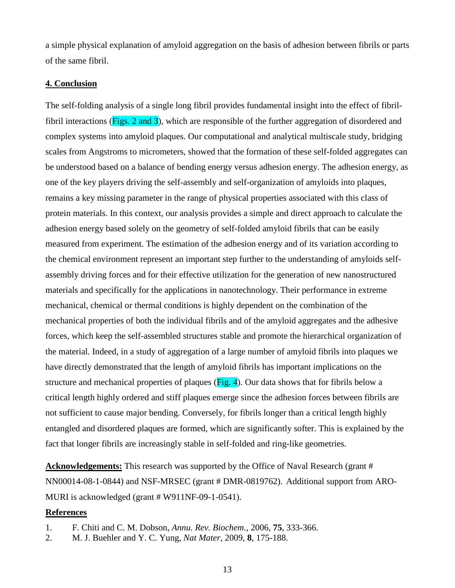a simple physical explanation of amyloid aggregation on the basis of adhesion between fibrils or parts of the same fibril.

# **4. Conclusion**

The self-folding analysis of a single long fibril provides fundamental insight into the effect of fibrilfibril interactions (Figs. 2 and 3), which are responsible of the further aggregation of disordered and complex systems into amyloid plaques. Our computational and analytical multiscale study, bridging scales from Angstroms to micrometers, showed that the formation of these self-folded aggregates can be understood based on a balance of bending energy versus adhesion energy. The adhesion energy, as one of the key players driving the self-assembly and self-organization of amyloids into plaques, remains a key missing parameter in the range of physical properties associated with this class of protein materials. In this context, our analysis provides a simple and direct approach to calculate the adhesion energy based solely on the geometry of self-folded amyloid fibrils that can be easily measured from experiment. The estimation of the adhesion energy and of its variation according to the chemical environment represent an important step further to the understanding of amyloids selfassembly driving forces and for their effective utilization for the generation of new nanostructured materials and specifically for the applications in nanotechnology. Their performance in extreme mechanical, chemical or thermal conditions is highly dependent on the combination of the mechanical properties of both the individual fibrils and of the amyloid aggregates and the adhesive forces, which keep the self-assembled structures stable and promote the hierarchical organization of the material. Indeed, in a study of aggregation of a large number of amyloid fibrils into plaques we have directly demonstrated that the length of amyloid fibrils has important implications on the structure and mechanical properties of plaques  $(Fig. 4)$ . Our data shows that for fibrils below a critical length highly ordered and stiff plaques emerge since the adhesion forces between fibrils are not sufficient to cause major bending. Conversely, for fibrils longer than a critical length highly entangled and disordered plaques are formed, which are significantly softer. This is explained by the fact that longer fibrils are increasingly stable in self-folded and ring-like geometries.

**Acknowledgements:** This research was supported by the Office of Naval Research (grant # NN00014-08-1-0844) and NSF-MRSEC (grant # DMR-0819762). Additional support from ARO-MURI is acknowledged (grant # W911NF-09-1-0541).

#### **References**

1. F. Chiti and C. M. Dobson, *Annu. Rev. Biochem.*, 2006, **75**, 333-366.

2. M. J. Buehler and Y. C. Yung, *Nat Mater*, 2009, **8**, 175-188.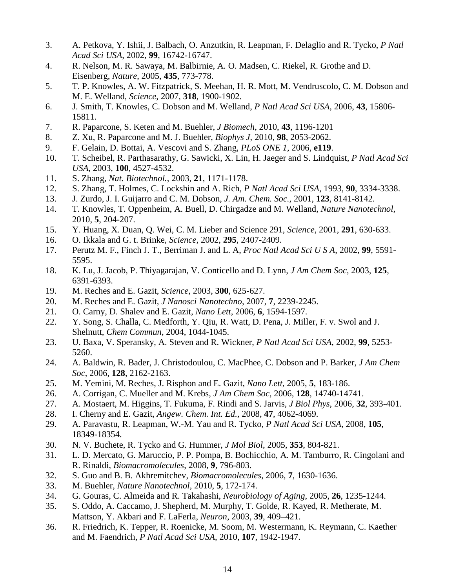- 3. A. Petkova, Y. Ishii, J. Balbach, O. Anzutkin, R. Leapman, F. Delaglio and R. Tycko, *P Natl Acad Sci USA*, 2002, **99**, 16742-16747.
- 4. R. Nelson, M. R. Sawaya, M. Balbirnie, A. O. Madsen, C. Riekel, R. Grothe and D. Eisenberg, *Nature*, 2005, **435**, 773-778.
- 5. T. P. Knowles, A. W. Fitzpatrick, S. Meehan, H. R. Mott, M. Vendruscolo, C. M. Dobson and M. E. Welland, *Science*, 2007, **318**, 1900-1902.
- 6. J. Smith, T. Knowles, C. Dobson and M. Welland, *P Natl Acad Sci USA*, 2006, **43**, 15806- 15811.
- 7. R. Paparcone, S. Keten and M. Buehler, *J Biomech*, 2010, **43**, 1196-1201
- 8. Z. Xu, R. Paparcone and M. J. Buehler, *Biophys J*, 2010, **98**, 2053-2062.
- 9. F. Gelain, D. Bottai, A. Vescovi and S. Zhang, *PLoS ONE 1*, 2006, **e119**.
- 10. T. Scheibel, R. Parthasarathy, G. Sawicki, X. Lin, H. Jaeger and S. Lindquist, *P Natl Acad Sci USA*, 2003, **100**, 4527-4532.
- 11. S. Zhang, *Nat. Biotechnol.*, 2003, **21**, 1171-1178.
- 12. S. Zhang, T. Holmes, C. Lockshin and A. Rich, *P Natl Acad Sci USA*, 1993, **90**, 3334-3338.
- 13. J. Zurdo, J. I. Guijarro and C. M. Dobson, *J. Am. Chem. Soc.*, 2001, **123**, 8141-8142.
- 14. T. Knowles, T. Oppenheim, A. Buell, D. Chirgadze and M. Welland, *Nature Nanotechnol*, 2010, **5**, 204-207.
- 15. Y. Huang, X. Duan, Q. Wei, C. M. Lieber and Science 291, *Science*, 2001, **291**, 630-633.
- 16. O. Ikkala and G. t. Brinke, *Science*, 2002, **295**, 2407-2409.
- 17. Perutz M. F., Finch J. T., Berriman J. and L. A, *Proc Natl Acad Sci U S A*, 2002, **99**, 5591- 5595.
- 18. K. Lu, J. Jacob, P. Thiyagarajan, V. Conticello and D. Lynn, *J Am Chem Soc*, 2003, **125**, 6391-6393.
- 19. M. Reches and E. Gazit, *Science*, 2003, **300**, 625-627.
- 20. M. Reches and E. Gazit, *J Nanosci Nanotechno*, 2007, **7**, 2239-2245.
- 21. O. Carny, D. Shalev and E. Gazit, *Nano Lett*, 2006, **6**, 1594-1597.
- 22. Y. Song, S. Challa, C. Medforth, Y. Qiu, R. Watt, D. Pena, J. Miller, F. v. Swol and J. Shelnutt, *Chem Commun*, 2004, 1044-1045.
- 23. U. Baxa, V. Speransky, A. Steven and R. Wickner, *P Natl Acad Sci USA*, 2002, **99**, 5253- 5260.
- 24. A. Baldwin, R. Bader, J. Christodoulou, C. MacPhee, C. Dobson and P. Barker, *J Am Chem Soc*, 2006, **128**, 2162-2163.
- 25. M. Yemini, M. Reches, J. Risphon and E. Gazit, *Nano Lett*, 2005, **5**, 183-186.
- 26. A. Corrigan, C. Mueller and M. Krebs, *J Am Chem Soc*, 2006, **128**, 14740-14741.
- 27. A. Mostaert, M. Higgins, T. Fukuma, F. Rindi and S. Jarvis, *J Biol Phys*, 2006, **32**, 393-401.
- 28. I. Cherny and E. Gazit, *Angew. Chem. Int. Ed.*, 2008, **47**, 4062-4069.
- 29. A. Paravastu, R. Leapman, W.-M. Yau and R. Tycko, *P Natl Acad Sci USA*, 2008, **105**, 18349-18354.
- 30. N. V. Buchete, R. Tycko and G. Hummer, *J Mol Biol*, 2005, **353**, 804-821.
- 31. L. D. Mercato, G. Maruccio, P. P. Pompa, B. Bochicchio, A. M. Tamburro, R. Cingolani and R. Rinaldi, *Biomacromolecules*, 2008, **9**, 796-803.
- 32. S. Guo and B. B. Akhremitchev, *Biomacromolecules*, 2006, **7**, 1630-1636.
- 33. M. Buehler, *Nature Nanotechnol*, 2010, **5**, 172-174.
- 34. G. Gouras, C. Almeida and R. Takahashi, *Neurobiology of Aging*, 2005, **26**, 1235-1244.
- 35. S. Oddo, A. Caccamo, J. Shepherd, M. Murphy, T. Golde, R. Kayed, R. Metherate, M. Mattson, Y. Akbari and F. LaFerla, *Neuron*, 2003, **39**, 409–421.
- 36. R. Friedrich, K. Tepper, R. Roenicke, M. Soom, M. Westermann, K. Reymann, C. Kaether and M. Faendrich, *P Natl Acad Sci USA*, 2010, **107**, 1942-1947.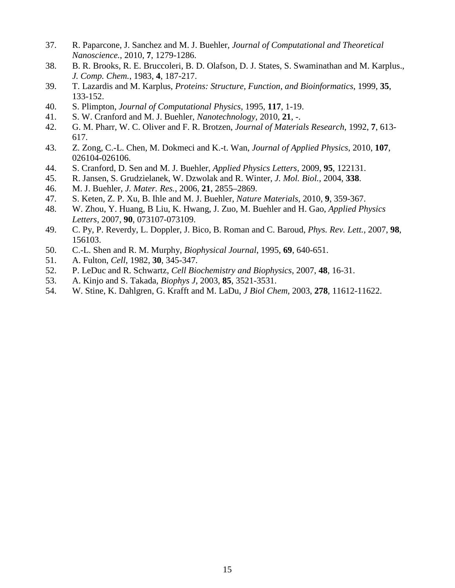- 37. R. Paparcone, J. Sanchez and M. J. Buehler, *Journal of Computational and Theoretical Nanoscience.*, 2010, **7**, 1279-1286.
- 38. B. R. Brooks, R. E. Bruccoleri, B. D. Olafson, D. J. States, S. Swaminathan and M. Karplus., *J. Comp. Chem.*, 1983, **4**, 187-217.
- 39. T. Lazardis and M. Karplus, *Proteins: Structure, Function, and Bioinformatics*, 1999, **35**, 133-152.
- 40. S. Plimpton, *Journal of Computational Physics*, 1995, **117**, 1-19.
- 41. S. W. Cranford and M. J. Buehler, *Nanotechnology*, 2010, **21**, -.
- 42. G. M. Pharr, W. C. Oliver and F. R. Brotzen, *Journal of Materials Research*, 1992, **7**, 613- 617.
- 43. Z. Zong, C.-L. Chen, M. Dokmeci and K.-t. Wan, *Journal of Applied Physics*, 2010, **107**, 026104-026106.
- 44. S. Cranford, D. Sen and M. J. Buehler, *Applied Physics Letters*, 2009, **95**, 122131.
- 45. R. Jansen, S. Grudzielanek, W. Dzwolak and R. Winter, *J. Mol. Biol.*, 2004, **338**.
- 46. M. J. Buehler, *J. Mater. Res.*, 2006, **21**, 2855–2869.
- 47. S. Keten, Z. P. Xu, B. Ihle and M. J. Buehler, *Nature Materials*, 2010, **9**, 359-367.
- 48. W. Zhou, Y. Huang, B Liu, K. Hwang, J. Zuo, M. Buehler and H. Gao, *Applied Physics Letters*, 2007, **90**, 073107-073109.
- 49. C. Py, P. Reverdy, L. Doppler, J. Bico, B. Roman and C. Baroud, *Phys. Rev. Lett.*, 2007, **98**, 156103.
- 50. C.-L. Shen and R. M. Murphy, *Biophysical Journal*, 1995, **69**, 640-651.
- 51. A. Fulton, *Cell*, 1982, **30**, 345-347.
- 52. P. LeDuc and R. Schwartz, *Cell Biochemistry and Biophysics*, 2007, **48**, 16-31.
- 53. A. Kinjo and S. Takada, *Biophys J*, 2003, **85**, 3521-3531.
- 54. W. Stine, K. Dahlgren, G. Krafft and M. LaDu, *J Biol Chem*, 2003, **278**, 11612-11622.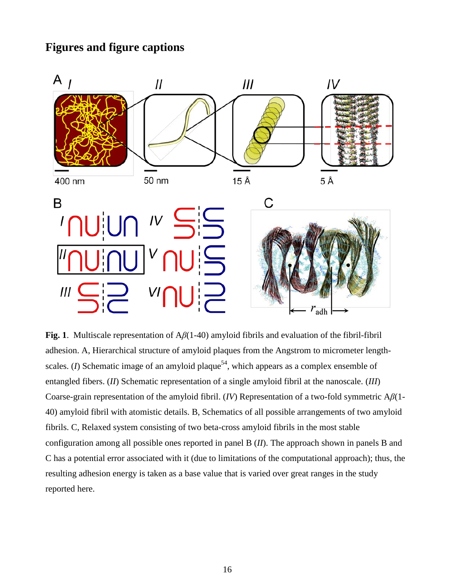# **Figures and figure captions**



**Fig. 1**.Multiscale representation of A*β*(1-40) amyloid fibrils and evaluation of the fibril-fibril adhesion. A, Hierarchical structure of amyloid plaques from the Angstrom to micrometer lengthscales. (*I*) Schematic image of an amyloid plaque<sup>54</sup>, which appears as a complex ensemble of entangled fibers. (*II*) Schematic representation of a single amyloid fibril at the nanoscale. (*III*) Coarse-grain representation of the amyloid fibril. (*IV*) Representation of a two-fold symmetric A*β*(1- 40) amyloid fibril with atomistic details. B, Schematics of all possible arrangements of two amyloid fibrils. C, Relaxed system consisting of two beta-cross amyloid fibrils in the most stable configuration among all possible ones reported in panel B (*II*). The approach shown in panels B and C has a potential error associated with it (due to limitations of the computational approach); thus, the resulting adhesion energy is taken as a base value that is varied over great ranges in the study reported here.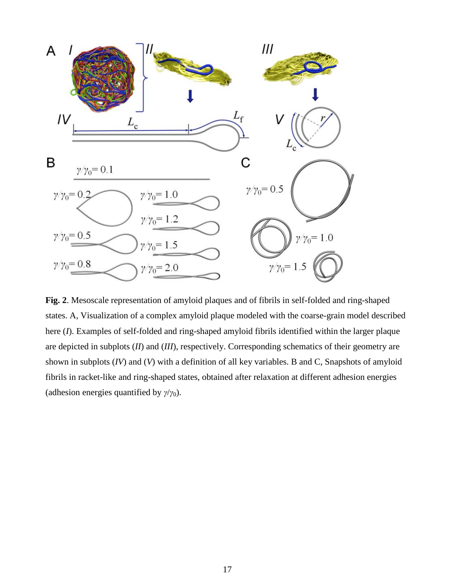

**Fig. 2**. Mesoscale representation of amyloid plaques and of fibrils in self-folded and ring-shaped states. A, Visualization of a complex amyloid plaque modeled with the coarse-grain model described here (*I*). Examples of self-folded and ring-shaped amyloid fibrils identified within the larger plaque are depicted in subplots (*II*) and (*III*), respectively. Corresponding schematics of their geometry are shown in subplots (*IV*) and (*V*) with a definition of all key variables. B and C, Snapshots of amyloid fibrils in racket-like and ring-shaped states, obtained after relaxation at different adhesion energies (adhesion energies quantified by *γ*/*γ*<sub>0</sub>).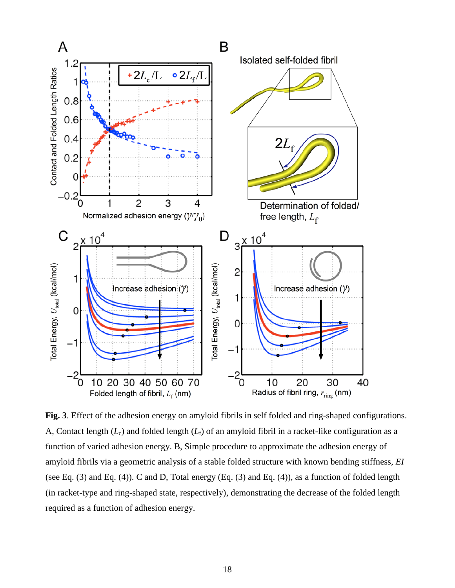

**Fig. 3**. Effect of the adhesion energy on amyloid fibrils in self folded and ring-shaped configurations. A, Contact length  $(L_c)$  and folded length  $(L_f)$  of an amyloid fibril in a racket-like configuration as a function of varied adhesion energy. B, Simple procedure to approximate the adhesion energy of amyloid fibrils via a geometric analysis of a stable folded structure with known bending stiffness, *EI* (see Eq. (3) and Eq. (4)). C and D, Total energy (Eq. (3) and Eq. (4)), as a function of folded length (in racket-type and ring-shaped state, respectively), demonstrating the decrease of the folded length required as a function of adhesion energy.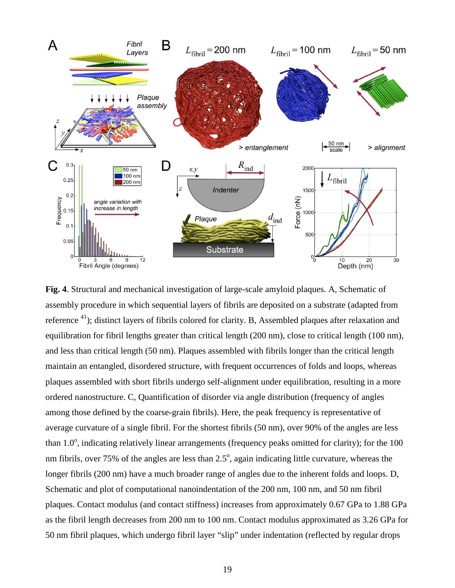

**Fig. 4**. Structural and mechanical investigation of large-scale amyloid plaques. A, Schematic of assembly procedure in which sequential layers of fibrils are deposited on a substrate (adapted from reference 41); distinct layers of fibrils colored for clarity. B, Assembled plaques after relaxation and equilibration for fibril lengths greater than critical length (200 nm), close to critical length (100 nm), and less than critical length (50 nm). Plaques assembled with fibrils longer than the critical length maintain an entangled, disordered structure, with frequent occurrences of folds and loops, whereas plaques assembled with short fibrils undergo self-alignment under equilibration, resulting in a more ordered nanostructure. C, Quantification of disorder via angle distribution (frequency of angles among those defined by the coarse-grain fibrils). Here, the peak frequency is representative of average curvature of a single fibril. For the shortest fibrils (50 nm), over 90% of the angles are less than 1.0°, indicating relatively linear arrangements (frequency peaks omitted for clarity); for the 100 nm fibrils, over 75% of the angles are less than 2.5°, again indicating little curvature, whereas the longer fibrils (200 nm) have a much broader range of angles due to the inherent folds and loops. D, Schematic and plot of computational nanoindentation of the 200 nm, 100 nm, and 50 nm fibril plaques. Contact modulus (and contact stiffness) increases from approximately 0.67 GPa to 1.88 GPa as the fibril length decreases from 200 nm to 100 nm. Contact modulus approximated as 3.26 GPa for 50 nm fibril plaques, which undergo fibril layer "slip" under indentation (reflected by regular drops